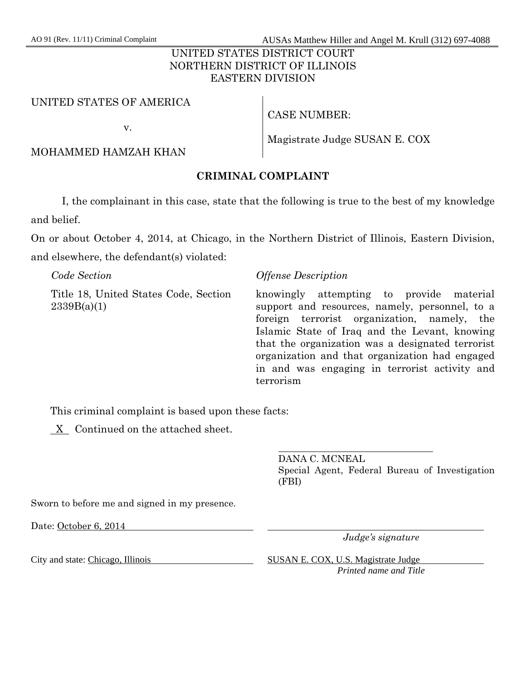AO 91 (Rev. 11/11) Criminal Complaint AUSAs Matthew Hiller and Angel M. Krull (312) 697-4088

## UNITED STATES DISTRICT COURT NORTHERN DISTRICT OF ILLINOIS EASTERN DIVISION

#### UNITED STATES OF AMERICA

v.

CASE NUMBER:

MOHAMMED HAMZAH KHAN

Magistrate Judge SUSAN E. COX

## **CRIMINAL COMPLAINT**

 I, the complainant in this case, state that the following is true to the best of my knowledge and belief.

On or about October 4, 2014, at Chicago, in the Northern District of Illinois, Eastern Division, and elsewhere, the defendant(s) violated:

| Code Section                                         | <i><b>Offense Description</b></i>                                                                                                                                                                                                                                                                                                                              |
|------------------------------------------------------|----------------------------------------------------------------------------------------------------------------------------------------------------------------------------------------------------------------------------------------------------------------------------------------------------------------------------------------------------------------|
| Title 18, United States Code, Section<br>2339B(a)(1) | knowingly attempting to provide material<br>support and resources, namely, personnel, to a<br>foreign terrorist organization, namely, the<br>Islamic State of Iraq and the Levant, knowing<br>that the organization was a designated terrorist<br>organization and that organization had engaged<br>in and was engaging in terrorist activity and<br>terrorism |

This criminal complaint is based upon these facts:

X Continued on the attached sheet.

 $\overline{a}$ DANA C. MCNEAL Special Agent, Federal Bureau of Investigation (FBI)

Sworn to before me and signed in my presence.

Date: October 6, 2014

*Judge's signature* 

City and state: Chicago, Illinois SUSAN E. COX, U.S. Magistrate Judge *Printed name and Title*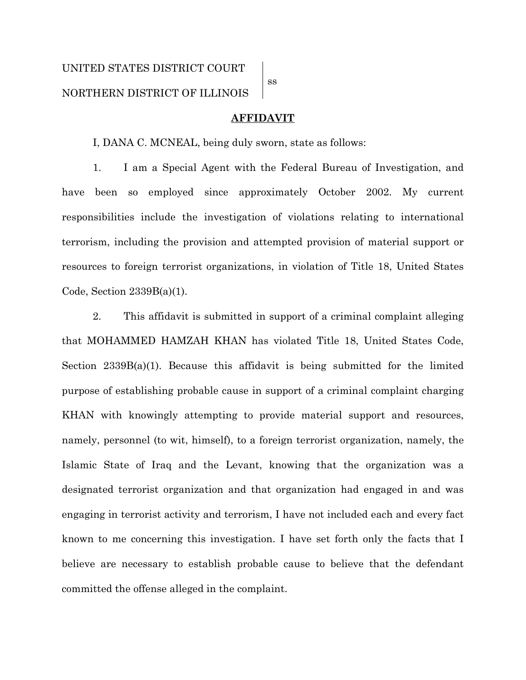ss

#### **AFFIDAVIT**

I, DANA C. MCNEAL, being duly sworn, state as follows:

1. I am a Special Agent with the Federal Bureau of Investigation, and have been so employed since approximately October 2002. My current responsibilities include the investigation of violations relating to international terrorism, including the provision and attempted provision of material support or resources to foreign terrorist organizations, in violation of Title 18, United States Code, Section 2339B(a)(1).

2. This affidavit is submitted in support of a criminal complaint alleging that MOHAMMED HAMZAH KHAN has violated Title 18, United States Code, Section  $2339B(a)(1)$ . Because this affidavit is being submitted for the limited purpose of establishing probable cause in support of a criminal complaint charging KHAN with knowingly attempting to provide material support and resources, namely, personnel (to wit, himself), to a foreign terrorist organization, namely, the Islamic State of Iraq and the Levant, knowing that the organization was a designated terrorist organization and that organization had engaged in and was engaging in terrorist activity and terrorism, I have not included each and every fact known to me concerning this investigation. I have set forth only the facts that I believe are necessary to establish probable cause to believe that the defendant committed the offense alleged in the complaint.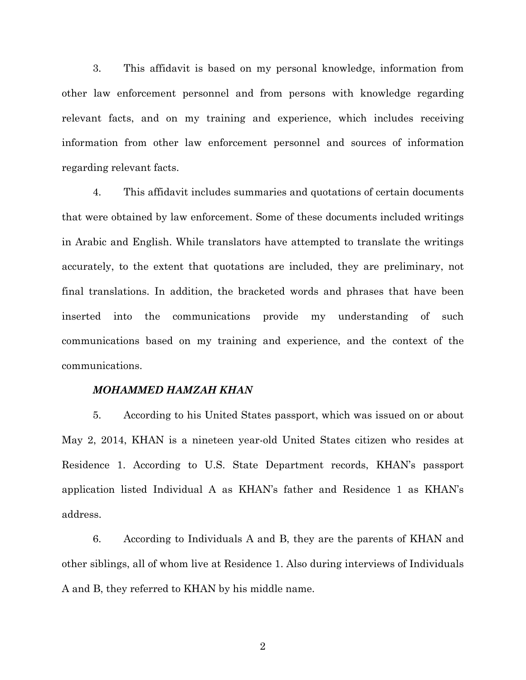3. This affidavit is based on my personal knowledge, information from other law enforcement personnel and from persons with knowledge regarding relevant facts, and on my training and experience, which includes receiving information from other law enforcement personnel and sources of information regarding relevant facts.

4. This affidavit includes summaries and quotations of certain documents that were obtained by law enforcement. Some of these documents included writings in Arabic and English. While translators have attempted to translate the writings accurately, to the extent that quotations are included, they are preliminary, not final translations. In addition, the bracketed words and phrases that have been inserted into the communications provide my understanding of such communications based on my training and experience, and the context of the communications.

#### *MOHAMMED HAMZAH KHAN*

5. According to his United States passport, which was issued on or about May 2, 2014, KHAN is a nineteen year-old United States citizen who resides at Residence 1. According to U.S. State Department records, KHAN's passport application listed Individual A as KHAN's father and Residence 1 as KHAN's address.

6. According to Individuals A and B, they are the parents of KHAN and other siblings, all of whom live at Residence 1. Also during interviews of Individuals A and B, they referred to KHAN by his middle name.

2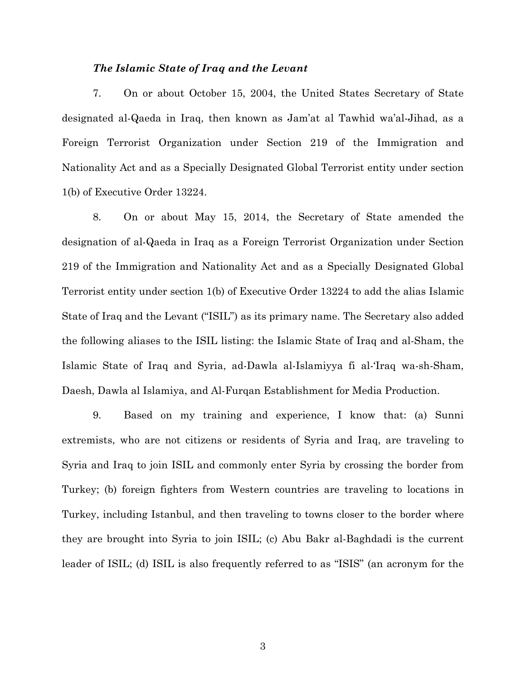#### *The Islamic State of Iraq and the Levant*

7. On or about October 15, 2004, the United States Secretary of State designated al-Qaeda in Iraq, then known as Jam'at al Tawhid wa'al-Jihad, as a Foreign Terrorist Organization under Section 219 of the Immigration and Nationality Act and as a Specially Designated Global Terrorist entity under section 1(b) of Executive Order 13224.

8. On or about May 15, 2014, the Secretary of State amended the designation of al-Qaeda in Iraq as a Foreign Terrorist Organization under Section 219 of the Immigration and Nationality Act and as a Specially Designated Global Terrorist entity under section 1(b) of Executive Order 13224 to add the alias Islamic State of Iraq and the Levant ("ISIL") as its primary name. The Secretary also added the following aliases to the ISIL listing: the Islamic State of Iraq and al-Sham, the Islamic State of Iraq and Syria, ad-Dawla al-Islamiyya fi al-'Iraq wa-sh-Sham, Daesh, Dawla al Islamiya, and Al-Furqan Establishment for Media Production.

9. Based on my training and experience, I know that: (a) Sunni extremists, who are not citizens or residents of Syria and Iraq, are traveling to Syria and Iraq to join ISIL and commonly enter Syria by crossing the border from Turkey; (b) foreign fighters from Western countries are traveling to locations in Turkey, including Istanbul, and then traveling to towns closer to the border where they are brought into Syria to join ISIL; (c) Abu Bakr al-Baghdadi is the current leader of ISIL; (d) ISIL is also frequently referred to as "ISIS" (an acronym for the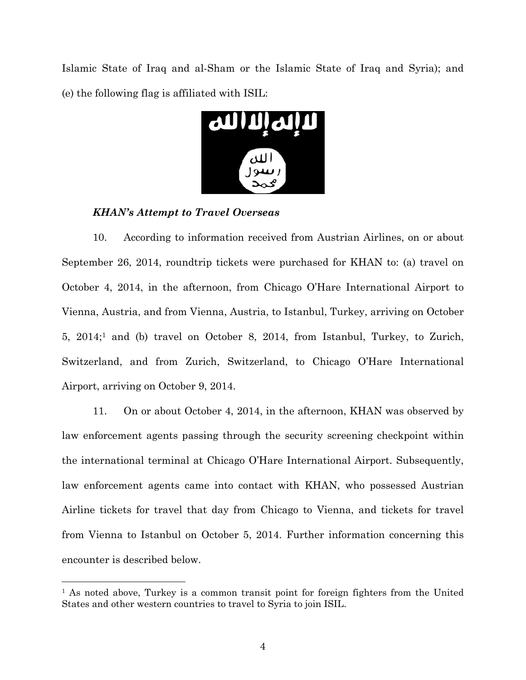Islamic State of Iraq and al-Sham or the Islamic State of Iraq and Syria); and (e) the following flag is affiliated with ISIL:



### *KHAN's Attempt to Travel Overseas*

 $\overline{a}$ 

10. According to information received from Austrian Airlines, on or about September 26, 2014, roundtrip tickets were purchased for KHAN to: (a) travel on October 4, 2014, in the afternoon, from Chicago O'Hare International Airport to Vienna, Austria, and from Vienna, Austria, to Istanbul, Turkey, arriving on October 5, 2014;1 and (b) travel on October 8, 2014, from Istanbul, Turkey, to Zurich, Switzerland, and from Zurich, Switzerland, to Chicago O'Hare International Airport, arriving on October 9, 2014.

11. On or about October 4, 2014, in the afternoon, KHAN was observed by law enforcement agents passing through the security screening checkpoint within the international terminal at Chicago O'Hare International Airport. Subsequently, law enforcement agents came into contact with KHAN, who possessed Austrian Airline tickets for travel that day from Chicago to Vienna, and tickets for travel from Vienna to Istanbul on October 5, 2014. Further information concerning this encounter is described below.

<sup>&</sup>lt;sup>1</sup> As noted above, Turkey is a common transit point for foreign fighters from the United States and other western countries to travel to Syria to join ISIL.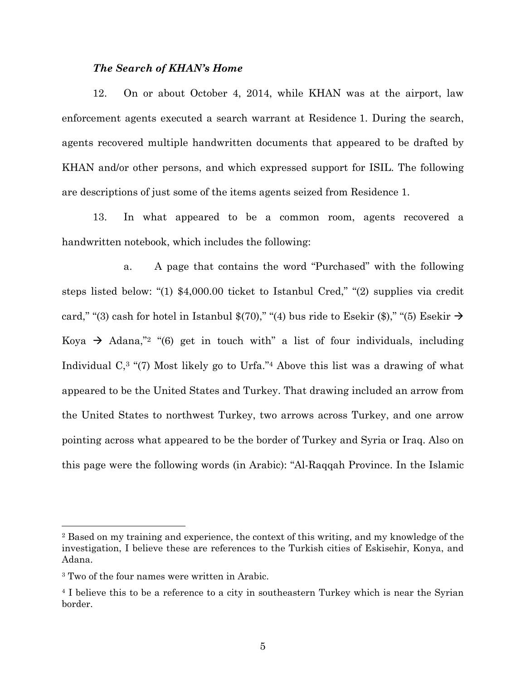#### *The Search of KHAN's Home*

12. On or about October 4, 2014, while KHAN was at the airport, law enforcement agents executed a search warrant at Residence 1. During the search, agents recovered multiple handwritten documents that appeared to be drafted by KHAN and/or other persons, and which expressed support for ISIL. The following are descriptions of just some of the items agents seized from Residence 1.

13. In what appeared to be a common room, agents recovered a handwritten notebook, which includes the following:

a. A page that contains the word "Purchased" with the following steps listed below: "(1) \$4,000.00 ticket to Istanbul Cred," "(2) supplies via credit card," "(3) cash for hotel in Istanbul \$(70)," "(4) bus ride to Esekir (\$)," "(5) Esekir  $\rightarrow$ Koya  $\rightarrow$  Adana,"<sup>2</sup> "(6) get in touch with" a list of four individuals, including Individual C,3 "(7) Most likely go to Urfa."4 Above this list was a drawing of what appeared to be the United States and Turkey. That drawing included an arrow from the United States to northwest Turkey, two arrows across Turkey, and one arrow pointing across what appeared to be the border of Turkey and Syria or Iraq. Also on this page were the following words (in Arabic): "Al-Raqqah Province. In the Islamic

l

<sup>2</sup> Based on my training and experience, the context of this writing, and my knowledge of the investigation, I believe these are references to the Turkish cities of Eskisehir, Konya, and Adana.

<sup>&</sup>lt;sup>3</sup> Two of the four names were written in Arabic.

<sup>4</sup> I believe this to be a reference to a city in southeastern Turkey which is near the Syrian border.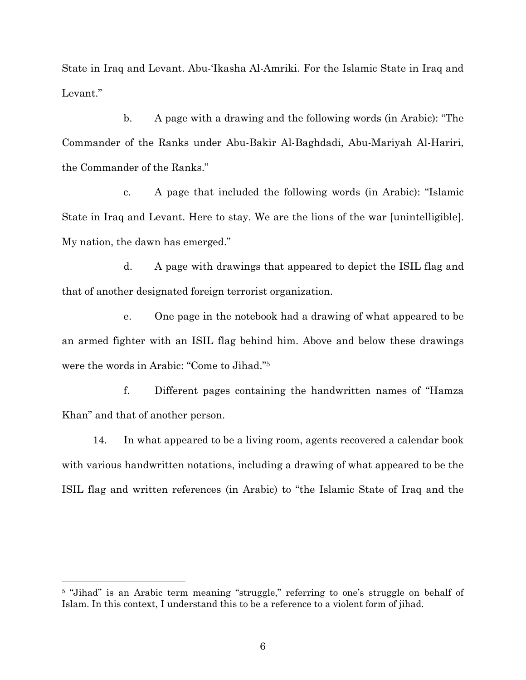State in Iraq and Levant. Abu-'Ikasha Al-Amriki. For the Islamic State in Iraq and Levant."

b. A page with a drawing and the following words (in Arabic): "The Commander of the Ranks under Abu-Bakir Al-Baghdadi, Abu-Mariyah Al-Hariri, the Commander of the Ranks."

c. A page that included the following words (in Arabic): "Islamic State in Iraq and Levant. Here to stay. We are the lions of the war [unintelligible]. My nation, the dawn has emerged."

d. A page with drawings that appeared to depict the ISIL flag and that of another designated foreign terrorist organization.

e. One page in the notebook had a drawing of what appeared to be an armed fighter with an ISIL flag behind him. Above and below these drawings were the words in Arabic: "Come to Jihad."5

f. Different pages containing the handwritten names of "Hamza Khan" and that of another person.

14. In what appeared to be a living room, agents recovered a calendar book with various handwritten notations, including a drawing of what appeared to be the ISIL flag and written references (in Arabic) to "the Islamic State of Iraq and the

l

<sup>5 &</sup>quot;Jihad" is an Arabic term meaning "struggle," referring to one's struggle on behalf of Islam. In this context, I understand this to be a reference to a violent form of jihad.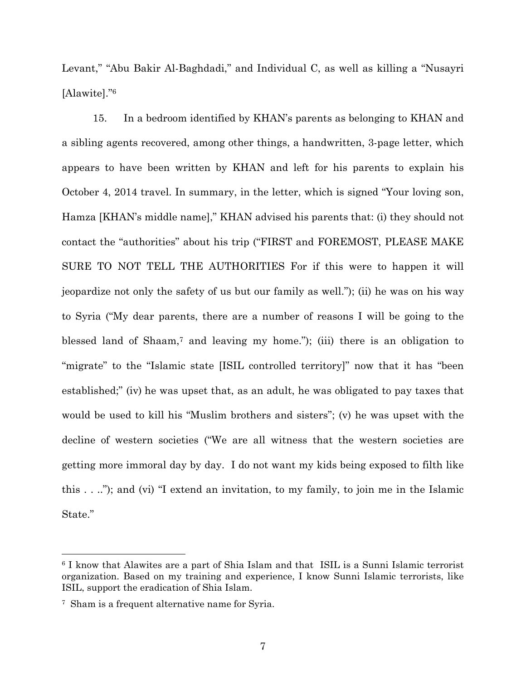Levant," "Abu Bakir Al-Baghdadi," and Individual C, as well as killing a "Nusayri [Alawite]."6

15. In a bedroom identified by KHAN's parents as belonging to KHAN and a sibling agents recovered, among other things, a handwritten, 3-page letter, which appears to have been written by KHAN and left for his parents to explain his October 4, 2014 travel. In summary, in the letter, which is signed "Your loving son, Hamza [KHAN's middle name]," KHAN advised his parents that: (i) they should not contact the "authorities" about his trip ("FIRST and FOREMOST, PLEASE MAKE SURE TO NOT TELL THE AUTHORITIES For if this were to happen it will jeopardize not only the safety of us but our family as well."); (ii) he was on his way to Syria ("My dear parents, there are a number of reasons I will be going to the blessed land of Shaam,7 and leaving my home."); (iii) there is an obligation to "migrate" to the "Islamic state [ISIL controlled territory]" now that it has "been established;" (iv) he was upset that, as an adult, he was obligated to pay taxes that would be used to kill his "Muslim brothers and sisters"; (v) he was upset with the decline of western societies ("We are all witness that the western societies are getting more immoral day by day. I do not want my kids being exposed to filth like this . . .."); and (vi) "I extend an invitation, to my family, to join me in the Islamic State."

1

<sup>6</sup> I know that Alawites are a part of Shia Islam and that ISIL is a Sunni Islamic terrorist organization. Based on my training and experience, I know Sunni Islamic terrorists, like ISIL, support the eradication of Shia Islam.

<sup>7</sup> Sham is a frequent alternative name for Syria.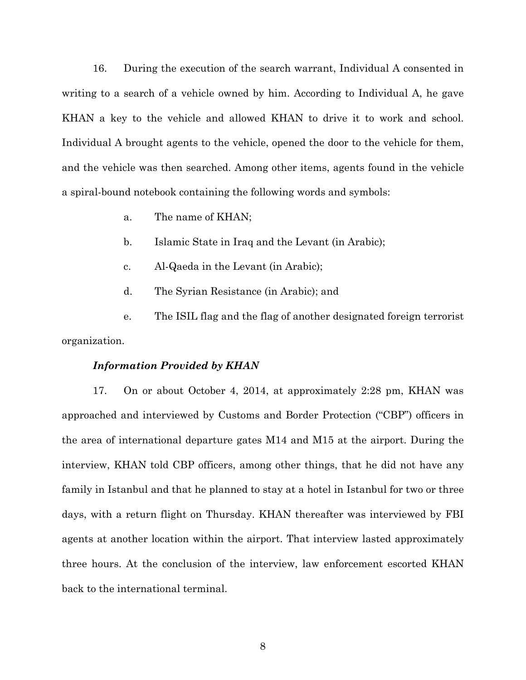16. During the execution of the search warrant, Individual A consented in writing to a search of a vehicle owned by him. According to Individual A, he gave KHAN a key to the vehicle and allowed KHAN to drive it to work and school. Individual A brought agents to the vehicle, opened the door to the vehicle for them, and the vehicle was then searched. Among other items, agents found in the vehicle a spiral-bound notebook containing the following words and symbols:

- a. The name of KHAN;
- b. Islamic State in Iraq and the Levant (in Arabic);
- c. Al-Qaeda in the Levant (in Arabic);
- d. The Syrian Resistance (in Arabic); and

e. The ISIL flag and the flag of another designated foreign terrorist organization.

#### *Information Provided by KHAN*

17. On or about October 4, 2014, at approximately 2:28 pm, KHAN was approached and interviewed by Customs and Border Protection ("CBP") officers in the area of international departure gates M14 and M15 at the airport. During the interview, KHAN told CBP officers, among other things, that he did not have any family in Istanbul and that he planned to stay at a hotel in Istanbul for two or three days, with a return flight on Thursday. KHAN thereafter was interviewed by FBI agents at another location within the airport. That interview lasted approximately three hours. At the conclusion of the interview, law enforcement escorted KHAN back to the international terminal.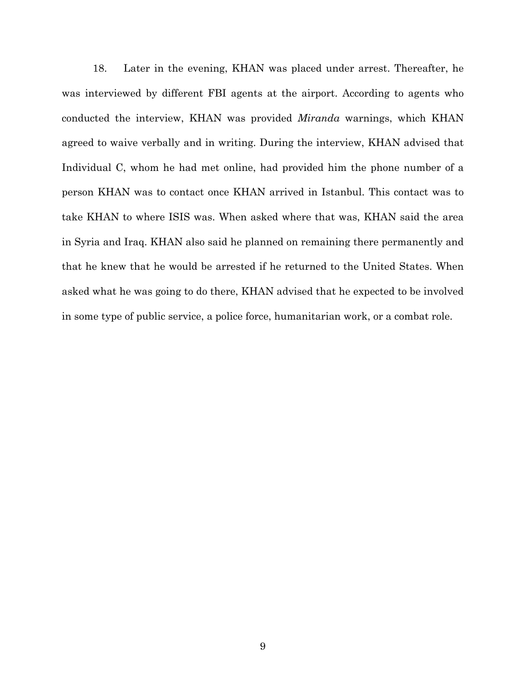18. Later in the evening, KHAN was placed under arrest. Thereafter, he was interviewed by different FBI agents at the airport. According to agents who conducted the interview, KHAN was provided *Miranda* warnings, which KHAN agreed to waive verbally and in writing. During the interview, KHAN advised that Individual C, whom he had met online, had provided him the phone number of a person KHAN was to contact once KHAN arrived in Istanbul. This contact was to take KHAN to where ISIS was. When asked where that was, KHAN said the area in Syria and Iraq. KHAN also said he planned on remaining there permanently and that he knew that he would be arrested if he returned to the United States. When asked what he was going to do there, KHAN advised that he expected to be involved in some type of public service, a police force, humanitarian work, or a combat role.